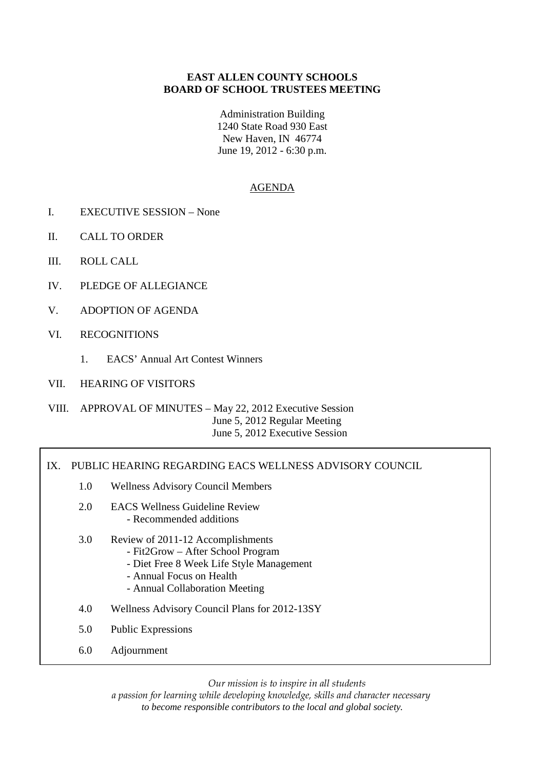# **EAST ALLEN COUNTY SCHOOLS BOARD OF SCHOOL TRUSTEES MEETING**

Administration Building 1240 State Road 930 East New Haven, IN 46774 June 19, 2012 - 6:30 p.m.

# AGENDA

- I. EXECUTIVE SESSION None
- II. CALL TO ORDER
- III. ROLL CALL
- IV. PLEDGE OF ALLEGIANCE
- V. ADOPTION OF AGENDA
- VI. RECOGNITIONS
	- 1. EACS' Annual Art Contest Winners
- VII. HEARING OF VISITORS

VIII. APPROVAL OF MINUTES – May 22, 2012 Executive Session June 5, 2012 Regular Meeting June 5, 2012 Executive Session

#### IX. PUBLIC HEARING REGARDING EACS WELLNESS ADVISORY COUNCIL

- 1.0 Wellness Advisory Council Members
- 2.0 EACS Wellness Guideline Review - Recommended additions
- 3.0 Review of 2011-12 Accomplishments
	- Fit2Grow After School Program
	- Diet Free 8 Week Life Style Management
- Annual Focus on Health
	- Annual Collaboration Meeting
- 4.0 Wellness Advisory Council Plans for 2012-13SY
- 5.0 Public Expressions
- 6.0 Adjournment

*Our mission is to inspire in all students* 

*a passion for learning while developing knowledge, skills and character necessary to become responsible contributors to the local and global society.*